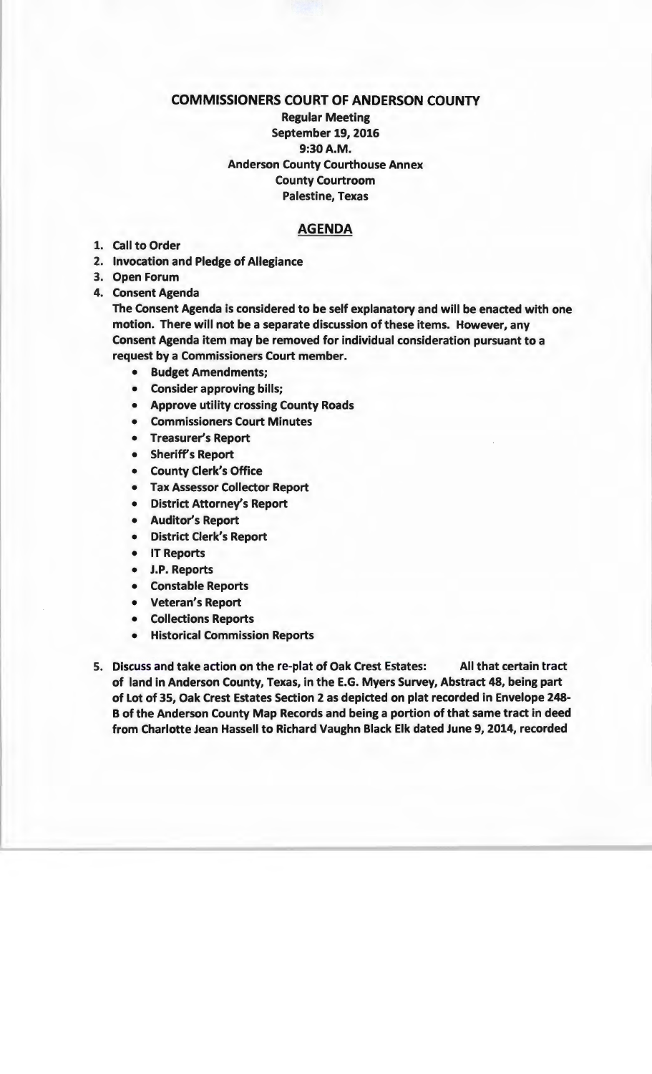## COMMISSIONERS COURT OF ANDERSON COUNTY

Regular Meeting September 19, 2016 9:30A.M. Anderson County Courthouse Annex County Courtroom Palestine, Texas

## AGENDA

- 1. Call to Order
- 2. Invocation and Pledge of Allegiance
- 3. Open Forum
- 4. Consent Agenda

The Consent Agenda is considered to be self explanatory and will be enacted with one motion. There will not be a separate discussion of these items. However, any Consent Agenda item may be removed for individual consideration pursuant to a request by a Commissioners Court member.

- Budget Amendments;
- Consider approving bills;
- Approve utility crossing County Roads
- Commissioners Court Minutes
- Treasurer's Report
- Sheriff's Report
- County Clerk's Office
- Tax Assessor Collector Report
- District Attorney's Report
- Auditor's Report
- District Clerk's Report
- IT Reports
- J.P. Reports
- Constable Reports
- Veteran's Report
- Collections Reports
- Historical Commission Reports
- 5. Discuss and take action on the re-plat of Oak Crest Estates: All that certain tract of land in Anderson County, Texas, in the E.G. Myers Survey, Abstract 48, being part of Lot of 35, Oak Crest Estates Section 2 as depicted on plat recorded in Envelope 248- B of the Anderson County Map Records and being a portion of that same tract in deed from Charlotte Jean Hassell to Richard Vaughn Black Elk dated June 9, 2014, recorded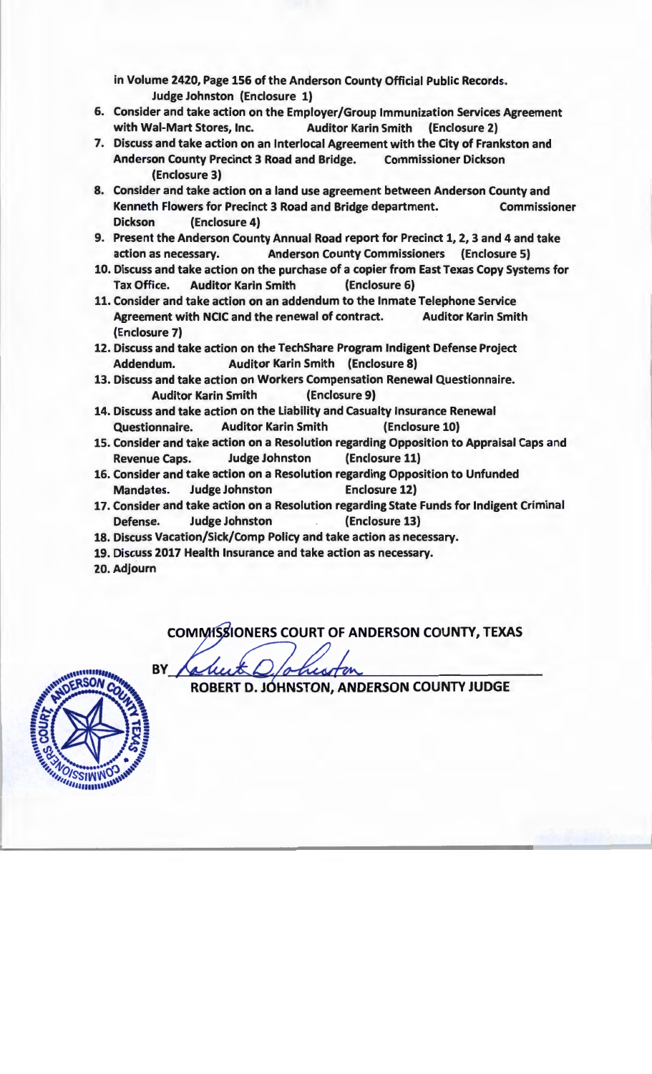in Volume 2420, Page 156 of the Anderson County Official Public Records. Judge Johnston (Enclosure 1)

- 6. Consider and take action on the Employer/Group Immunization Services Agreement with Wal-Mart Stores, Inc. Auditor Karin Smith (Enclosure 2)
- 7. Discuss and take action on an lnterlocal Agreement with the City of Frankston and Anderson County Precinct 3 Road and Bridge. Commissioner Dickson (Enclosure 3)
- 8. Consider and take action on a land use agreement between Anderson County and Kenneth Flowers for Precinct 3 Road and Bridge department. Commissioner Dickson (Enclosure 4)
- 9. Present the Anderson County Annual Road report for Precinct 1, 2, 3 and 4 and take action as necessary. Anderson County Commissioners (Enclosure 5)
- 10. Discuss and take action on the purchase of a copier from East Texas Copy Systems for Tax Office. Auditor Karin Smith (Enclosure 6)
- 11. Consider and take action on an addendum to the Inmate Telephone Service Agreement with NCIC and the renewal of contract. Auditor Karin Smith (Enclosure 7)
- 12. Discuss and take action on the TechShare Program Indigent Defense Project Addendum. Auditor Karin Smith (Enclosure 8)
- 13. Discuss and take action on Workers Compensation Renewal Questionnaire. Auditor Karin Smith (Enclosure 9)
- 14. Discuss and take action on the Liability and Casualty Insurance Renewal Questionnaire. Auditor Karin Smith (Enclosure 10)
- 15. Consider and take action on a Resolution regarding Opposition to Appraisal Caps and Revenue Caps. Judge Johnston (Enclosure 11)
- 16. Consider and take action on a Resolution regarding Opposition to Unfunded Mandates. Judge Johnston Enclosure 12)
- 17. Consider and take action on a Resolution regarding State Funds for Indigent Criminal Defense. Judge Johnston (Enclosure 13)
- 18. Discuss Vacation/Sick/Comp Policy and take action as necessary.
- 19. Discuss 2017 Health Insurance and take action as necessary.
- 20. Adjourn

COMMISSIONERS COURT OF ANDERSON COUNTY, TEXAS

BY

SΩ *<u>PHILIPPISSINNO</u>* 

ROBERT D. JOHNSTON, ANDERSON COUNTY JUDGE